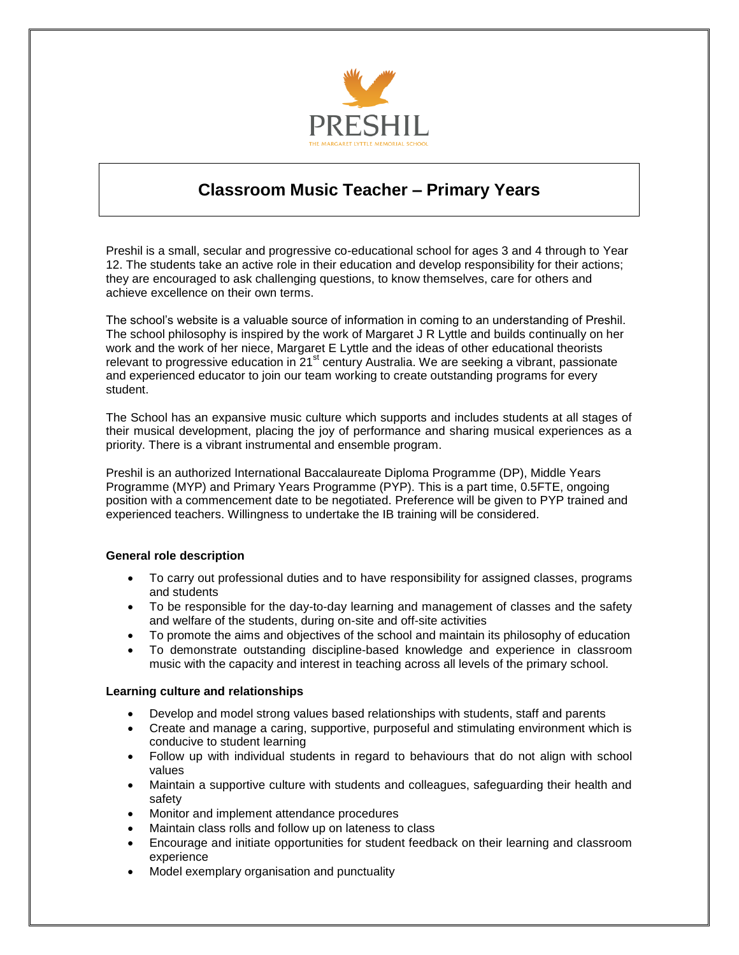

# **Classroom Music Teacher – Primary Years**

Preshil is a small, secular and progressive co-educational school for ages 3 and 4 through to Year 12. The students take an active role in their education and develop responsibility for their actions; they are encouraged to ask challenging questions, to know themselves, care for others and achieve excellence on their own terms.

The school's website is a valuable source of information in coming to an understanding of Preshil. The school philosophy is inspired by the work of Margaret J R Lyttle and builds continually on her work and the work of her niece, Margaret E Lyttle and the ideas of other educational theorists relevant to progressive education in  $21<sup>st</sup>$  century Australia. We are seeking a vibrant, passionate and experienced educator to join our team working to create outstanding programs for every student.

The School has an expansive music culture which supports and includes students at all stages of their musical development, placing the joy of performance and sharing musical experiences as a priority. There is a vibrant instrumental and ensemble program.

Preshil is an authorized International Baccalaureate Diploma Programme (DP), Middle Years Programme (MYP) and Primary Years Programme (PYP). This is a part time, 0.5FTE, ongoing position with a commencement date to be negotiated. Preference will be given to PYP trained and experienced teachers. Willingness to undertake the IB training will be considered.

#### **General role description**

- To carry out professional duties and to have responsibility for assigned classes, programs and students
- To be responsible for the day-to-day learning and management of classes and the safety and welfare of the students, during on-site and off-site activities
- To promote the aims and objectives of the school and maintain its philosophy of education
- To demonstrate outstanding discipline-based knowledge and experience in classroom music with the capacity and interest in teaching across all levels of the primary school.

#### **Learning culture and relationships**

- Develop and model strong values based relationships with students, staff and parents
- Create and manage a caring, supportive, purposeful and stimulating environment which is conducive to student learning
- Follow up with individual students in regard to behaviours that do not align with school values
- Maintain a supportive culture with students and colleagues, safeguarding their health and safety
- Monitor and implement attendance procedures
- Maintain class rolls and follow up on lateness to class
- Encourage and initiate opportunities for student feedback on their learning and classroom experience
- Model exemplary organisation and punctuality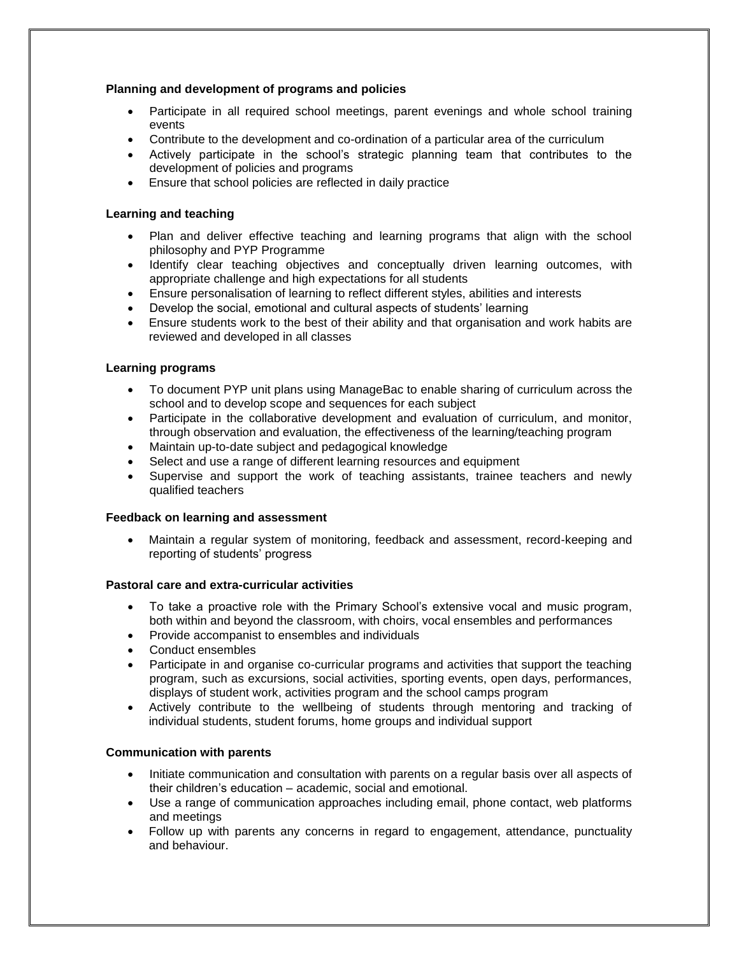# **Planning and development of programs and policies**

- Participate in all required school meetings, parent evenings and whole school training events
- Contribute to the development and co-ordination of a particular area of the curriculum
- Actively participate in the school's strategic planning team that contributes to the development of policies and programs
- Ensure that school policies are reflected in daily practice

## **Learning and teaching**

- Plan and deliver effective teaching and learning programs that align with the school philosophy and PYP Programme
- Identify clear teaching objectives and conceptually driven learning outcomes, with appropriate challenge and high expectations for all students
- Ensure personalisation of learning to reflect different styles, abilities and interests
- Develop the social, emotional and cultural aspects of students' learning
- Ensure students work to the best of their ability and that organisation and work habits are reviewed and developed in all classes

#### **Learning programs**

- To document PYP unit plans using ManageBac to enable sharing of curriculum across the school and to develop scope and sequences for each subject
- Participate in the collaborative development and evaluation of curriculum, and monitor, through observation and evaluation, the effectiveness of the learning/teaching program
- Maintain up-to-date subject and pedagogical knowledge
- Select and use a range of different learning resources and equipment
- Supervise and support the work of teaching assistants, trainee teachers and newly qualified teachers

#### **Feedback on learning and assessment**

 Maintain a regular system of monitoring, feedback and assessment, record-keeping and reporting of students' progress

#### **Pastoral care and extra-curricular activities**

- To take a proactive role with the Primary School's extensive vocal and music program, both within and beyond the classroom, with choirs, vocal ensembles and performances
- Provide accompanist to ensembles and individuals
- Conduct ensembles
- Participate in and organise co-curricular programs and activities that support the teaching program, such as excursions, social activities, sporting events, open days, performances, displays of student work, activities program and the school camps program
- Actively contribute to the wellbeing of students through mentoring and tracking of individual students, student forums, home groups and individual support

#### **Communication with parents**

- Initiate communication and consultation with parents on a regular basis over all aspects of their children's education – academic, social and emotional.
- Use a range of communication approaches including email, phone contact, web platforms and meetings
- Follow up with parents any concerns in regard to engagement, attendance, punctuality and behaviour.